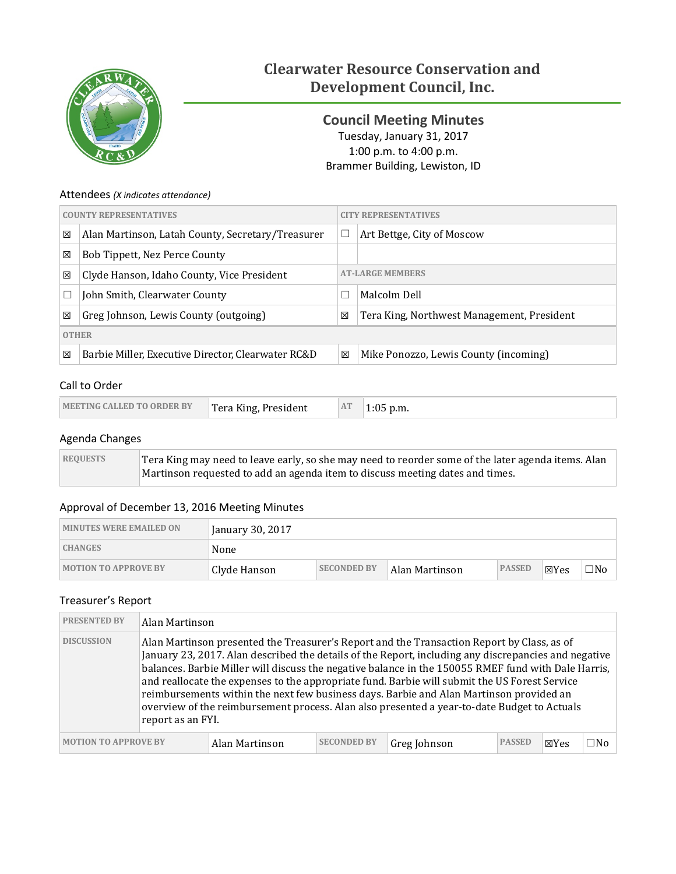

# **Clearwater Resource Conservation and Development Council, Inc.**

# <span id="page-0-0"></span>**Council Meeting Minutes** Tuesday, January 31, 2017 1:00 p.m. to 4:00 p.m. Brammer Building, Lewiston, ID

### Attendees *(X indicates attendance)*

| <b>COUNTY REPRESENTATIVES</b> |                                                    | <b>CITY REPRESENTATIVES</b>                     |                                       |  |  |  |
|-------------------------------|----------------------------------------------------|-------------------------------------------------|---------------------------------------|--|--|--|
| 区                             | Alan Martinson, Latah County, Secretary/Treasurer  | Art Bettge, City of Moscow                      |                                       |  |  |  |
| 区                             | Bob Tippett, Nez Perce County                      |                                                 |                                       |  |  |  |
| 区                             | Clyde Hanson, Idaho County, Vice President         | <b>AT-LARGE MEMBERS</b>                         |                                       |  |  |  |
|                               | John Smith, Clearwater County                      |                                                 | Malcolm Dell                          |  |  |  |
| ⊠                             | Greg Johnson, Lewis County (outgoing)              | Tera King, Northwest Management, President<br>区 |                                       |  |  |  |
|                               | <b>OTHER</b>                                       |                                                 |                                       |  |  |  |
| ⊠                             | Barbie Miller, Executive Director, Clearwater RC&D | 区                                               | Mike Ponozzo, Lewis County (incoming) |  |  |  |

## Call to Order

### Agenda Changes

| <b>REQUESTS</b> | Tera King may need to leave early, so she may need to reorder some of the later agenda items. Alan |
|-----------------|----------------------------------------------------------------------------------------------------|
|                 | Martinson requested to add an agenda item to discuss meeting dates and times.                      |

# Approval of December 13, 2016 Meeting Minutes

| <b>MINUTES WERE EMAILED ON</b> | January 30, 2017 |                    |                |               |      |           |
|--------------------------------|------------------|--------------------|----------------|---------------|------|-----------|
| <b>CHANGES</b>                 | None             |                    |                |               |      |           |
| <b>MOTION TO APPROVE BY</b>    | Clyde Hanson     | <b>SECONDED BY</b> | Alan Martinson | <b>PASSED</b> | ⊠Yes | $\Box$ No |

### Treasurer's Report

| <b>PRESENTED BY</b>         | Alan Martinson    |                |                    |                                                                                                                                                                                                                                                                                                                                                                                                                                                                                                                                                                                                      |               |                 |     |
|-----------------------------|-------------------|----------------|--------------------|------------------------------------------------------------------------------------------------------------------------------------------------------------------------------------------------------------------------------------------------------------------------------------------------------------------------------------------------------------------------------------------------------------------------------------------------------------------------------------------------------------------------------------------------------------------------------------------------------|---------------|-----------------|-----|
| <b>DISCUSSION</b>           | report as an FYI. |                |                    | Alan Martinson presented the Treasurer's Report and the Transaction Report by Class, as of<br>January 23, 2017. Alan described the details of the Report, including any discrepancies and negative<br>balances. Barbie Miller will discuss the negative balance in the 150055 RMEF fund with Dale Harris,<br>and reallocate the expenses to the appropriate fund. Barbie will submit the US Forest Service<br>reimbursements within the next few business days. Barbie and Alan Martinson provided an<br>overview of the reimbursement process. Alan also presented a year-to-date Budget to Actuals |               |                 |     |
| <b>MOTION TO APPROVE BY</b> |                   | Alan Martinson | <b>SECONDED BY</b> | Greg Johnson                                                                                                                                                                                                                                                                                                                                                                                                                                                                                                                                                                                         | <b>PASSED</b> | $\boxtimes$ Yes | □No |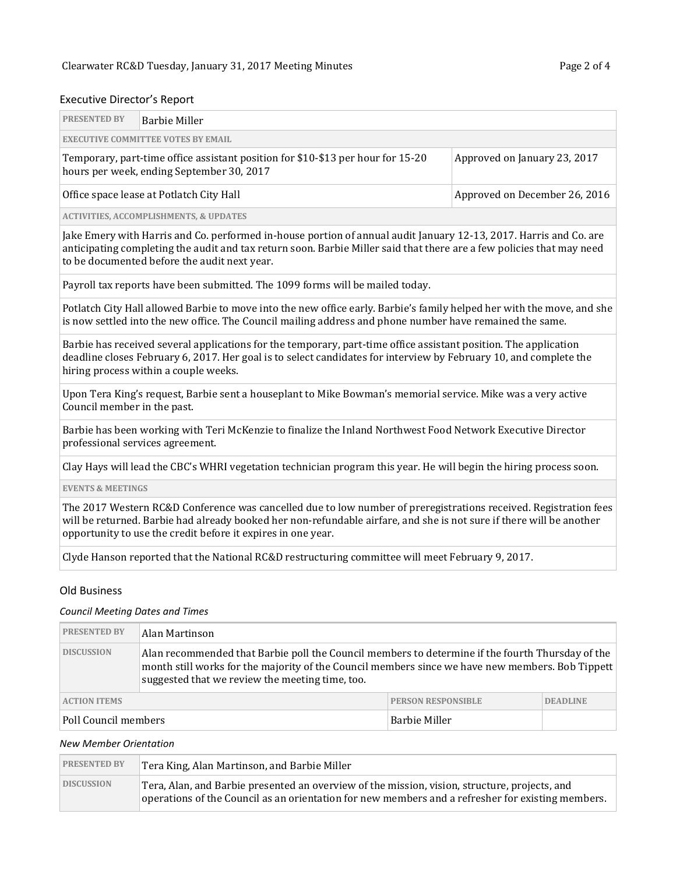#### Executive Director's Report

| <b>PRESENTED BY</b>                                                                                                                                          | ' Barbie Miller                           |  |  |  |  |  |
|--------------------------------------------------------------------------------------------------------------------------------------------------------------|-------------------------------------------|--|--|--|--|--|
|                                                                                                                                                              | <b>EXECUTIVE COMMITTEE VOTES BY EMAIL</b> |  |  |  |  |  |
| Temporary, part-time office assistant position for \$10-\$13 per hour for 15-20<br>Approved on January 23, 2017<br>hours per week, ending September 30, 2017 |                                           |  |  |  |  |  |
| Office space lease at Potlatch City Hall<br>Approved on December 26, 2016                                                                                    |                                           |  |  |  |  |  |

**ACTIVITIES, ACCOMPLISHMENTS, & UPDATES**

Jake Emery with Harris and Co. performed in-house portion of annual audit January 12-13, 2017. Harris and Co. are anticipating completing the audit and tax return soon. Barbie Miller said that there are a few policies that may need to be documented before the audit next year.

Payroll tax reports have been submitted. The 1099 forms will be mailed today.

Potlatch City Hall allowed Barbie to move into the new office early. Barbie's family helped her with the move, and she is now settled into the new office. The Council mailing address and phone number have remained the same.

Barbie has received several applications for the temporary, part-time office assistant position. The application deadline closes February 6, 2017. Her goal is to select candidates for interview by February 10, and complete the hiring process within a couple weeks.

Upon Tera King's request, Barbie sent a houseplant to Mike Bowman's memorial service. Mike was a very active Council member in the past.

Barbie has been working with Teri McKenzie to finalize the Inland Northwest Food Network Executive Director professional services agreement.

Clay Hays will lead the CBC's WHRI vegetation technician program this year. He will begin the hiring process soon.

**EVENTS & MEETINGS**

The 2017 Western RC&D Conference was cancelled due to low number of preregistrations received. Registration fees will be returned. Barbie had already booked her non-refundable airfare, and she is not sure if there will be another opportunity to use the credit before it expires in one year.

Clyde Hanson reported that the National RC&D restructuring committee will meet February 9, 2017.

#### Old Business

#### *Council Meeting Dates and Times*

| <b>PRESENTED BY</b>                                                                                                                                                                                                                                                          | Alan Martinson |                           |                 |  |
|------------------------------------------------------------------------------------------------------------------------------------------------------------------------------------------------------------------------------------------------------------------------------|----------------|---------------------------|-----------------|--|
| <b>DISCUSSION</b><br>Alan recommended that Barbie poll the Council members to determine if the fourth Thursday of the<br>month still works for the majority of the Council members since we have new members. Bob Tippett<br>suggested that we review the meeting time, too. |                |                           |                 |  |
| <b>ACTION ITEMS</b>                                                                                                                                                                                                                                                          |                | <b>PERSON RESPONSIBLE</b> | <b>DEADLINE</b> |  |
| Poll Council members                                                                                                                                                                                                                                                         |                | Barbie Miller             |                 |  |

*New Member Orientation*

| <b>PRESENTED BY</b> | Tera King, Alan Martinson, and Barbie Miller                                                                                                                                                       |
|---------------------|----------------------------------------------------------------------------------------------------------------------------------------------------------------------------------------------------|
| <b>DISCUSSION</b>   | Tera, Alan, and Barbie presented an overview of the mission, vision, structure, projects, and<br>operations of the Council as an orientation for new members and a refresher for existing members. |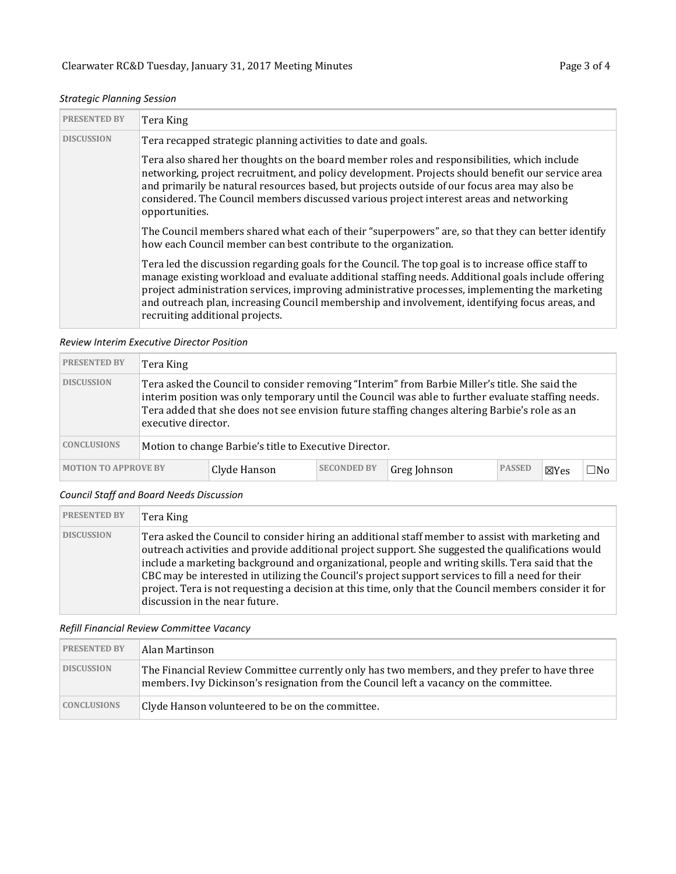| Strategic Planning Session |  |
|----------------------------|--|
|----------------------------|--|

| <b>PRESENTED BY</b> | Tera King                                                                                                                                                                                                                                                                                                                                                                                                                                          |
|---------------------|----------------------------------------------------------------------------------------------------------------------------------------------------------------------------------------------------------------------------------------------------------------------------------------------------------------------------------------------------------------------------------------------------------------------------------------------------|
| <b>DISCUSSION</b>   | Tera recapped strategic planning activities to date and goals.                                                                                                                                                                                                                                                                                                                                                                                     |
|                     | Tera also shared her thoughts on the board member roles and responsibilities, which include<br>networking, project recruitment, and policy development. Projects should benefit our service area<br>and primarily be natural resources based, but projects outside of our focus area may also be<br>considered. The Council members discussed various project interest areas and networking<br>opportunities.                                      |
|                     | The Council members shared what each of their "superpowers" are, so that they can better identify<br>how each Council member can best contribute to the organization.                                                                                                                                                                                                                                                                              |
|                     | Tera led the discussion regarding goals for the Council. The top goal is to increase office staff to<br>manage existing workload and evaluate additional staffing needs. Additional goals include offering<br>project administration services, improving administrative processes, implementing the marketing<br>and outreach plan, increasing Council membership and involvement, identifying focus areas, and<br>recruiting additional projects. |

### *Review Interim Executive Director Position*

| <b>PRESENTED BY</b>                                                          | Tera King                                                                                                                                                                                                                                                                                                                     |              |                    |              |               |                 |     |
|------------------------------------------------------------------------------|-------------------------------------------------------------------------------------------------------------------------------------------------------------------------------------------------------------------------------------------------------------------------------------------------------------------------------|--------------|--------------------|--------------|---------------|-----------------|-----|
| <b>DISCUSSION</b>                                                            | Tera asked the Council to consider removing "Interim" from Barbie Miller's title. She said the<br>interim position was only temporary until the Council was able to further evaluate staffing needs.<br>Tera added that she does not see envision future staffing changes altering Barbie's role as an<br>executive director. |              |                    |              |               |                 |     |
| <b>CONCLUSIONS</b><br>Motion to change Barbie's title to Executive Director. |                                                                                                                                                                                                                                                                                                                               |              |                    |              |               |                 |     |
| <b>MOTION TO APPROVE BY</b>                                                  |                                                                                                                                                                                                                                                                                                                               | Clyde Hanson | <b>SECONDED BY</b> | Greg Johnson | <b>PASSED</b> | $\boxtimes$ Yes | ⊟N∩ |

# *Council Staff and Board Needs Discussion*

| <b>PRESENTED BY</b> | Tera King                                                                                                                                                                                                                                                                                                                                                                                                                                                                                                                                                     |
|---------------------|---------------------------------------------------------------------------------------------------------------------------------------------------------------------------------------------------------------------------------------------------------------------------------------------------------------------------------------------------------------------------------------------------------------------------------------------------------------------------------------------------------------------------------------------------------------|
| <b>DISCUSSION</b>   | Tera asked the Council to consider hiring an additional staff member to assist with marketing and<br>outreach activities and provide additional project support. She suggested the qualifications would<br>include a marketing background and organizational, people and writing skills. Tera said that the<br>CBC may be interested in utilizing the Council's project support services to fill a need for their<br>project. Tera is not requesting a decision at this time, only that the Council members consider it for<br>discussion in the near future. |

# *Refill Financial Review Committee Vacancy*

| <b>PRESENTED BY</b> | Alan Martinson                                                                                                                                                                         |
|---------------------|----------------------------------------------------------------------------------------------------------------------------------------------------------------------------------------|
| <b>DISCUSSION</b>   | The Financial Review Committee currently only has two members, and they prefer to have three<br>members. Ivy Dickinson's resignation from the Council left a vacancy on the committee. |
| <b>CONCLUSIONS</b>  | Clyde Hanson volunteered to be on the committee.                                                                                                                                       |